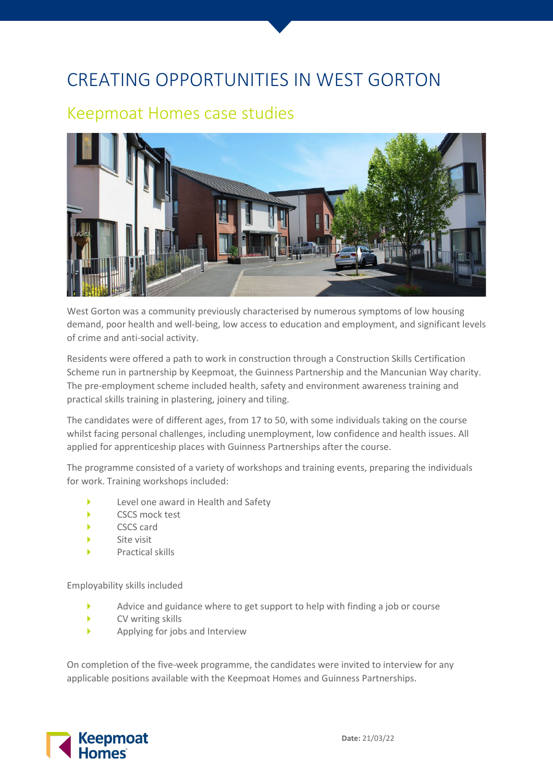## CREATING OPPORTUNITIES IN WEST GORTON

## Keepmoat Homes case studies



West Gorton was a community previously characterised by numerous symptoms of low housing demand, poor health and well-being, low access to education and employment, and significant levels of crime and anti-social activity.

Residents were offered a path to work in construction through a Construction Skills Certification Scheme run in partnership by Keepmoat, the Guinness Partnership and the Mancunian Way charity. The pre-employment scheme included health, safety and environment awareness training and practical skills training in plastering, joinery and tiling.

The candidates were of different ages, from 17 to 50, with some individuals taking on the course whilst facing personal challenges, including unemployment, low confidence and health issues. All applied for apprenticeship places with Guinness Partnerships after the course.

The programme consisted of a variety of workshops and training events, preparing the individuals for work. Training workshops included:

- Level one award in Health and Safety
- CSCS mock test
- CSCS card
- Site visit
- Practical skills

Employability skills included

- Advice and guidance where to get support to help with finding a job or course
- CV writing skills
- Applying for jobs and Interview

On completion of the five-week programme, the candidates were invited to interview for any applicable positions available with the Keepmoat Homes and Guinness Partnerships.